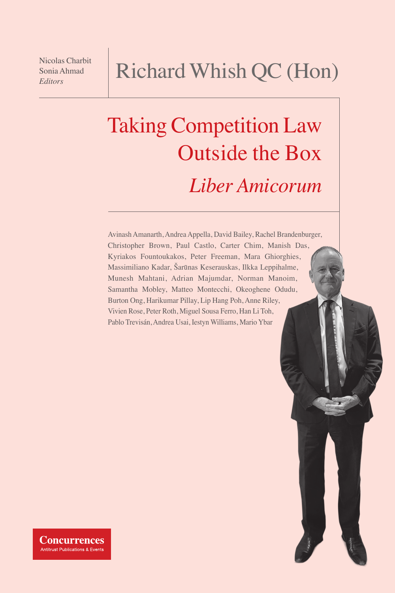Nicolas Charbit Sonia Ahmad *Editors*

# Richard Whish QC (Hon)

# Taking Competition Law Outside the Box *Liber Amicorum*

Avinash Amanarth, Andrea Appella, David Bailey, Rachel Brandenburger, Christopher Brown, Paul Castlo, Carter Chim, Manish Das, Kyriakos Fountoukakos, Peter Freeman, Mara Ghiorghies, Massimiliano Kadar, Šarūnas Keserauskas, Ilkka Leppihalme, Munesh Mahtani, Adrian Majumdar, Norman Manoim, Samantha Mobley, Matteo Montecchi, Okeoghene Odudu, Burton Ong, Harikumar Pillay, Lip Hang Poh, Anne Riley, Vivien Rose, Peter Roth, Miguel Sousa Ferro, Han Li Toh, Pablo Trevisán, Andrea Usai, Iestyn Williams, Mario Ybar

**Concurrences Antitrust Publications & Events**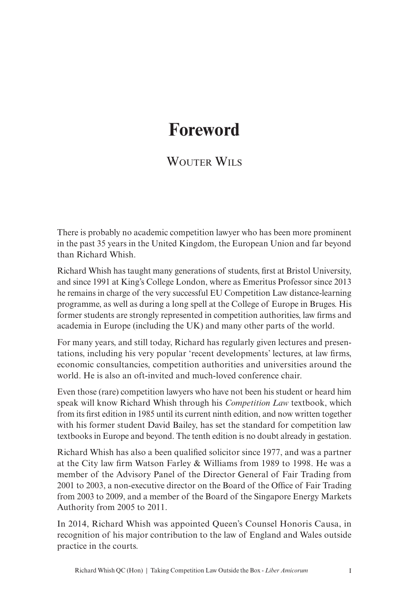# **Foreword**

### WOUTER WILS

There is probably no academic competition lawyer who has been more prominent in the past 35 years in the United Kingdom, the European Union and far beyond than Richard Whish.

Richard Whish has taught many generations of students, first at Bristol University, and since 1991 at King's College London, where as Emeritus Professor since 2013 he remains in charge of the very successful EU Competition Law distance-learning programme, as well as during a long spell at the College of Europe in Bruges. His former students are strongly represented in competition authorities, law firms and academia in Europe (including the UK) and many other parts of the world.

For many years, and still today, Richard has regularly given lectures and presentations, including his very popular 'recent developments' lectures, at law firms, economic consultancies, competition authorities and universities around the world. He is also an oft-invited and much-loved conference chair.

Even those (rare) competition lawyers who have not been his student or heard him speak will know Richard Whish through his *Competition Law* textbook, which from its first edition in 1985 until its current ninth edition, and now written together with his former student David Bailey, has set the standard for competition law textbooks in Europe and beyond. The tenth edition is no doubt already in gestation.

Richard Whish has also a been qualified solicitor since 1977, and was a partner at the City law firm Watson Farley & Williams from 1989 to 1998. He was a member of the Advisory Panel of the Director General of Fair Trading from 2001 to 2003, a non-executive director on the Board of the Office of Fair Trading from 2003 to 2009, and a member of the Board of the Singapore Energy Markets Authority from 2005 to 2011.

In 2014, Richard Whish was appointed Queen's Counsel Honoris Causa, in recognition of his major contribution to the law of England and Wales outside practice in the courts.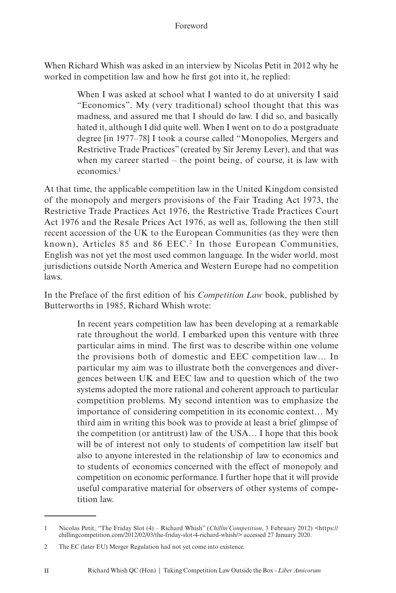#### Foreword

When Richard Whish was asked in an interview by Nicolas Petit in 2012 why he worked in competition law and how he first got into it, he replied:

> When I was asked at school what I wanted to do at university I said "Economics". My (very traditional) school thought that this was madness, and assured me that I should do law. I did so, and basically hated it, although I did quite well. When I went on to do a postgraduate degree [in 1977–78] I took a course called "Monopolies, Mergers and Restrictive Trade Practices" (created by Sir Jeremy Lever), and that was when my career started – the point being, of course, it is law with economics<sup>1</sup>

At that time, the applicable competition law in the United Kingdom consisted of the monopoly and mergers provisions of the Fair Trading Act 1973, the Restrictive Trade Practices Act 1976, the Restrictive Trade Practices Court Act 1976 and the Resale Prices Act 1976, as well as, following the then still recent accession of the UK to the European Communities (as they were then known), Articles 85 and 86 EEC.<sup>2</sup> In those European Communities, English was not yet the most used common language. In the wider world, most jurisdictions outside North America and Western Europe had no competition laws.

In the Preface of the first edition of his *Competition Law* book, published by Butterworths in 1985, Richard Whish wrote:

> In recent years competition law has been developing at a remarkable rate throughout the world. I embarked upon this venture with three particular aims in mind. The first was to describe within one volume the provisions both of domestic and EEC competition law… In particular my aim was to illustrate both the convergences and divergences between UK and EEC law and to question which of the two systems adopted the more rational and coherent approach to particular competition problems. My second intention was to emphasize the importance of considering competition in its economic context… My third aim in writing this book was to provide at least a brief glimpse of the competition (or antitrust) law of the USA… I hope that this book will be of interest not only to students of competition law itself but also to anyone interested in the relationship of law to economics and to students of economics concerned with the effect of monopoly and competition on economic performance. I further hope that it will provide useful comparative material for observers of other systems of competition law.

<sup>1</sup> Nicolas Petit, "The Friday Slot (4) – Richard Whish" (*Chillin' Competition*, 3 February 2012) <https://<br>chillingcompetition.com/2012/02/03/the-friday-slot-4-richard-whish/> accessed 27 January 2020.

<sup>2</sup> The EC (later EU) Merger Regulation had not yet come into existence.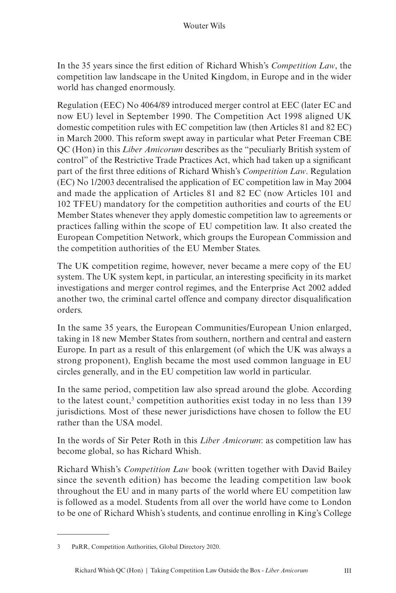In the 35 years since the first edition of Richard Whish's *Competition Law*, the competition law landscape in the United Kingdom, in Europe and in the wider world has changed enormously.

Regulation (EEC) No 4064/89 introduced merger control at EEC (later EC and now EU) level in September 1990. The Competition Act 1998 aligned UK domestic competition rules with EC competition law (then Articles 81 and 82 EC) in March 2000. This reform swept away in particular what Peter Freeman CBE QC (Hon) in this *Liber Amicorum* describes as the "peculiarly British system of control" of the Restrictive Trade Practices Act, which had taken up a significant part of the first three editions of Richard Whish's *Competition Law*. Regulation (EC) No 1/2003 decentralised the application of EC competition law in May 2004 and made the application of Articles 81 and 82 EC (now Articles 101 and 102 TFEU) mandatory for the competition authorities and courts of the EU Member States whenever they apply domestic competition law to agreements or practices falling within the scope of EU competition law. It also created the European Competition Network, which groups the European Commission and the competition authorities of the EU Member States.

The UK competition regime, however, never became a mere copy of the EU system. The UK system kept, in particular, an interesting specificity in its market investigations and merger control regimes, and the Enterprise Act 2002 added another two, the criminal cartel offence and company director disqualification orders.

In the same 35 years, the European Communities/European Union enlarged, taking in 18 new Member States from southern, northern and central and eastern Europe. In part as a result of this enlargement (of which the UK was always a strong proponent), English became the most used common language in EU circles generally, and in the EU competition law world in particular.

In the same period, competition law also spread around the globe. According to the latest count,<sup>3</sup> competition authorities exist today in no less than 139 jurisdictions. Most of these newer jurisdictions have chosen to follow the EU rather than the USA model.

In the words of Sir Peter Roth in this *Liber Amicorum*: as competition law has become global, so has Richard Whish.

Richard Whish's *Competition Law* book (written together with David Bailey since the seventh edition) has become the leading competition law book throughout the EU and in many parts of the world where EU competition law is followed as a model. Students from all over the world have come to London to be one of Richard Whish's students, and continue enrolling in King's College

<sup>3</sup> PaRR, Competition Authorities, Global Directory 2020.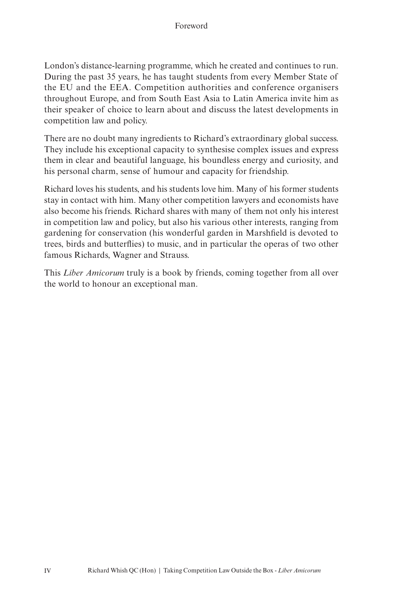London's distance-learning programme, which he created and continues to run. During the past 35 years, he has taught students from every Member State of the EU and the EEA. Competition authorities and conference organisers throughout Europe, and from South East Asia to Latin America invite him as their speaker of choice to learn about and discuss the latest developments in competition law and policy.

There are no doubt many ingredients to Richard's extraordinary global success. They include his exceptional capacity to synthesise complex issues and express them in clear and beautiful language, his boundless energy and curiosity, and his personal charm, sense of humour and capacity for friendship.

Richard loves his students, and his students love him. Many of his former students stay in contact with him. Many other competition lawyers and economists have also become his friends. Richard shares with many of them not only his interest in competition law and policy, but also his various other interests, ranging from gardening for conservation (his wonderful garden in Marshfield is devoted to trees, birds and butterflies) to music, and in particular the operas of two other famous Richards, Wagner and Strauss.

This *Liber Amicorum* truly is a book by friends, coming together from all over the world to honour an exceptional man.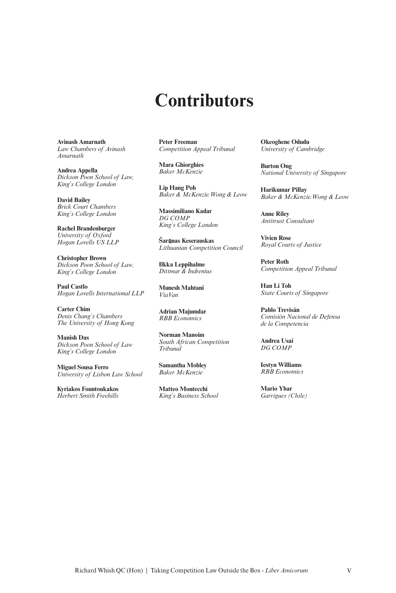## **Contributors**

**Avinash Amarnath** *Law Chambers of Avinash Amarnath*

**Andrea Appella** *Dickson Poon School of Law, King's College London*

**David Bailey** *Brick Court Chambers King's College London*

**Rachel Brandenburger** *University of Oxford Hogan Lovells US LLP*

**Christopher Brown** *Dickson Poon School of Law, King's College London*

**Paul Castlo** *Hogan Lovells International LLP*

**Carter Chim** *Denis Chang's Chambers The University of Hong Kong*

**Manish Das** *Dickson Poon School of Law King's College London*

**Miguel Sousa Ferro** *University of Lisbon Law School*

**Kyriakos Fountoukakos** *Herbert Smith Freehills*

**Peter Freeman** *Competition Appeal Tribunal*

**Mara Ghiorghies** *Baker McKenzie*

**Lip Hang Poh** *Baker & McKenzie.Wong & Leow*

**Massimiliano Kadar** *DG COMP King's College London*

**Šar nas Keserauskas** *Lithuanian Competition Council*

**Ilkka Leppihalme** *Dittmar & Indrenius*

**Munesh Mahtani** *ViaVan*

**Adrian Majumdar** *RBB Economics*

**Norman Manoim** *South African Competition Tribunal*

**Samantha Mobley** *Baker McKenzie*

**Matteo Montecchi** *King's Business School* **Okeoghene Odudu** *University of Cambridge*

**Burton Ong** *National University of Singapore*

**Harikumar Pillay** *Baker & McKenzie.Wong & Leow*

**Anne Riley** *Antitrust Consultant*

**Vivien Rose** *Royal Courts of Justice*

**Peter Roth** *Competition Appeal Tribunal*

**Han Li Toh** *State Courts of Singapore*

**Pablo Trevisán** *Comisión Nacional de Defensa de la Competencia*

**Andrea Usai** *DG COMP*

**Iestyn Williams** *RBB Economics*

**Mario Ybar** *Garrigues (Chile)*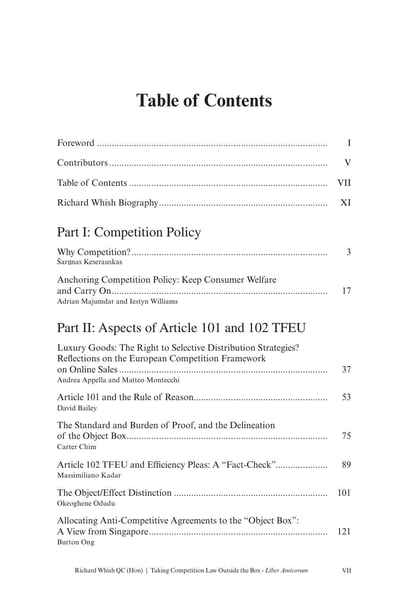# **Table of Contents**

|                                                                                                                                                           | $\mathbf I$  |
|-----------------------------------------------------------------------------------------------------------------------------------------------------------|--------------|
|                                                                                                                                                           | $\mathbf{V}$ |
|                                                                                                                                                           | <b>VII</b>   |
|                                                                                                                                                           | XI           |
| <b>Part I: Competition Policy</b>                                                                                                                         |              |
| Šarūnas Keserauskas                                                                                                                                       | 3            |
| Anchoring Competition Policy: Keep Consumer Welfare                                                                                                       | 17           |
| Adrian Majumdar and Iestyn Williams                                                                                                                       |              |
| Part II: Aspects of Article 101 and 102 TFEU                                                                                                              |              |
| Luxury Goods: The Right to Selective Distribution Strategies?<br>Reflections on the European Competition Framework<br>Andrea Appella and Matteo Montecchi | 37           |
| David Bailey                                                                                                                                              | 53           |
| The Standard and Burden of Proof, and the Delineation<br>Carter Chim                                                                                      | 75           |
| Article 102 TFEU and Efficiency Pleas: A "Fact-Check"<br>Massimiliano Kadar                                                                               | 89           |
| Okeoghene Odudu                                                                                                                                           | 101          |
| Allocating Anti-Competitive Agreements to the "Object Box":<br><b>Burton Ong</b>                                                                          | 121          |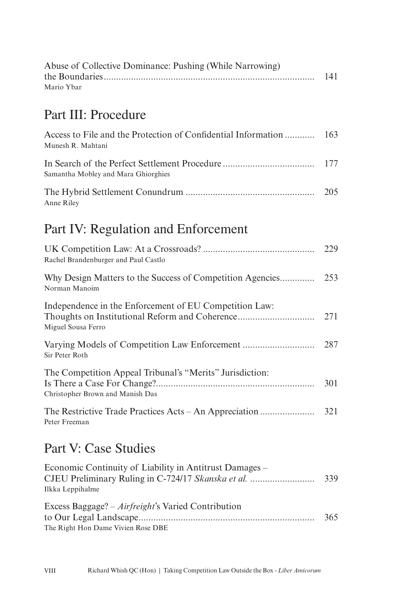| Abuse of Collective Dominance: Pushing (While Narrowing) |     |
|----------------------------------------------------------|-----|
|                                                          | 141 |
| Mario Ybar                                               |     |

### Part III: Procedure

| Access to File and the Protection of Confidential Information  163<br>Munesh R. Mahtani |  |
|-----------------------------------------------------------------------------------------|--|
| Samantha Mobley and Mara Ghiorghies                                                     |  |
| Anne Riley                                                                              |  |

### Part IV: Regulation and Enforcement

| Rachel Brandenburger and Paul Castlo                                                         | 229  |
|----------------------------------------------------------------------------------------------|------|
| Why Design Matters to the Success of Competition Agencies<br>Norman Manoim                   | 253  |
| Independence in the Enforcement of EU Competition Law:<br>Miguel Sousa Ferro                 | 2.71 |
| Sir Peter Roth                                                                               | 287  |
| The Competition Appeal Tribunal's "Merits" Jurisdiction:<br>Christopher Brown and Manish Das | 301  |
| The Restrictive Trade Practices Acts – An Appreciation<br>Peter Freeman                      | 321  |

### Part V: Case Studies

| Economic Continuity of Liability in Antitrust Damages –                                          |     |
|--------------------------------------------------------------------------------------------------|-----|
|                                                                                                  | 339 |
| Ilkka Leppihalme                                                                                 |     |
| Excess Baggage? – <i>Airfreight</i> 's Varied Contribution<br>The Right Hon Dame Vivien Rose DBE | 365 |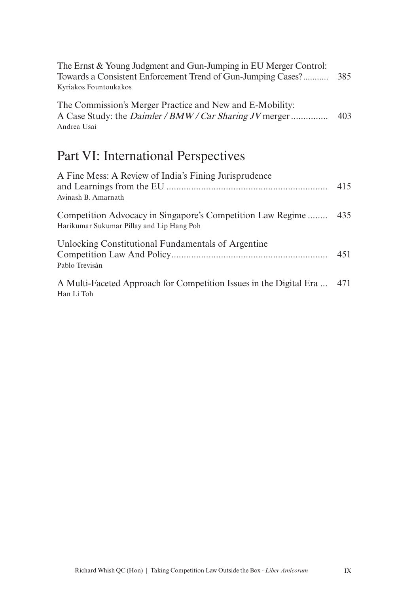| The Ernst & Young Judgment and Gun-Jumping in EU Merger Control: |     |
|------------------------------------------------------------------|-----|
| Towards a Consistent Enforcement Trend of Gun-Jumping Cases?     | 385 |
| Kyriakos Fountoukakos                                            |     |
| The Commission's Merger Practice and New and E-Mobility:         |     |
| A Case Study: the <i>Daimler / BMW / Car Sharing JV</i> merger   | 403 |
| Andrea Usai                                                      |     |

### Part VI: International Perspectives

| A Fine Mess: A Review of India's Fining Jurisprudence<br>Avinash B. Amarnath                                | 415 |
|-------------------------------------------------------------------------------------------------------------|-----|
| Competition Advocacy in Singapore's Competition Law Regime 435<br>Harikumar Sukumar Pillay and Lip Hang Poh |     |
| Unlocking Constitutional Fundamentals of Argentine<br>Pablo Trevisán                                        | 451 |
| A Multi-Faceted Approach for Competition Issues in the Digital Era  471<br>Han Li Toh                       |     |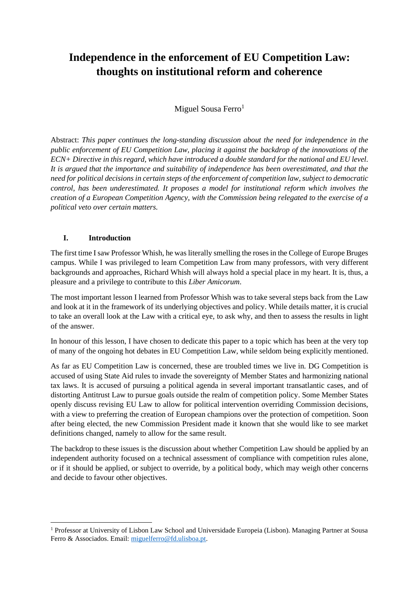### **Independence in the enforcement of EU Competition Law: thoughts on institutional reform and coherence**

Miguel Sousa Ferro $<sup>1</sup>$ </sup>

Abstract: *This paper continues the long-standing discussion about the need for independence in the public enforcement of EU Competition Law, placing it against the backdrop of the innovations of the ECN+ Directive in this regard, which have introduced a double standard for the national and EU level. It is argued that the importance and suitability of independence has been overestimated, and that the need for political decisions in certain steps of the enforcement of competition law, subject to democratic control, has been underestimated. It proposes a model for institutional reform which involves the creation of a European Competition Agency, with the Commission being relegated to the exercise of a political veto over certain matters.*

### **I. Introduction**

The first time I saw Professor Whish, he was literally smelling the roses in the College of Europe Bruges campus. While I was privileged to learn Competition Law from many professors, with very different backgrounds and approaches, Richard Whish will always hold a special place in my heart. It is, thus, a pleasure and a privilege to contribute to this *Liber Amicorum*.

The most important lesson I learned from Professor Whish was to take several steps back from the Law and look at it in the framework of its underlying objectives and policy. While details matter, it is crucial to take an overall look at the Law with a critical eye, to ask why, and then to assess the results in light of the answer.

In honour of this lesson, I have chosen to dedicate this paper to a topic which has been at the very top of many of the ongoing hot debates in EU Competition Law, while seldom being explicitly mentioned.

As far as EU Competition Law is concerned, these are troubled times we live in. DG Competition is accused of using State Aid rules to invade the sovereignty of Member States and harmonizing national tax laws. It is accused of pursuing a political agenda in several important transatlantic cases, and of distorting Antitrust Law to pursue goals outside the realm of competition policy. Some Member States openly discuss revising EU Law to allow for political intervention overriding Commission decisions, with a view to preferring the creation of European champions over the protection of competition. Soon after being elected, the new Commission President made it known that she would like to see market definitions changed, namely to allow for the same result.

The backdrop to these issues is the discussion about whether Competition Law should be applied by an independent authority focused on a technical assessment of compliance with competition rules alone, or if it should be applied, or subject to override, by a political body, which may weigh other concerns and decide to favour other objectives.

<sup>1</sup> Professor at University of Lisbon Law School and Universidade Europeia (Lisbon). Managing Partner at Sousa Ferro & Associados. Email: [miguelferro@fd.ulisboa.pt.](mailto:miguelferro@fd.ulisboa.pt)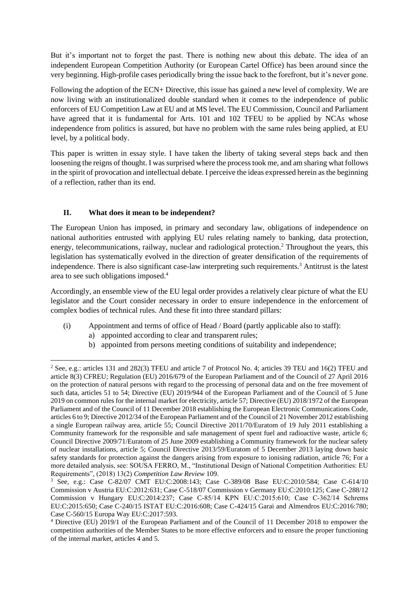But it's important not to forget the past. There is nothing new about this debate. The idea of an independent European Competition Authority (or European Cartel Office) has been around since the very beginning. High-profile cases periodically bring the issue back to the forefront, but it's never gone.

Following the adoption of the ECN+ Directive, this issue has gained a new level of complexity. We are now living with an institutionalized double standard when it comes to the independence of public enforcers of EU Competition Law at EU and at MS level. The EU Commission, Council and Parliament have agreed that it is fundamental for Arts. 101 and 102 TFEU to be applied by NCAs whose independence from politics is assured, but have no problem with the same rules being applied, at EU level, by a political body.

This paper is written in essay style. I have taken the liberty of taking several steps back and then loosening the reigns of thought. I was surprised where the process took me, and am sharing what follows in the spirit of provocation and intellectual debate. I perceive the ideas expressed herein as the beginning of a reflection, rather than its end.

### **II. What does it mean to be independent?**

The European Union has imposed, in primary and secondary law, obligations of independence on national authorities entrusted with applying EU rules relating namely to banking, data protection, energy, telecommunications, railway, nuclear and radiological protection.<sup>2</sup> Throughout the years, this legislation has systematically evolved in the direction of greater densification of the requirements of independence. There is also significant case-law interpreting such requirements.<sup>3</sup> Antitrust is the latest area to see such obligations imposed.<sup>4</sup>

Accordingly, an ensemble view of the EU legal order provides a relatively clear picture of what the EU legislator and the Court consider necessary in order to ensure independence in the enforcement of complex bodies of technical rules. And these fit into three standard pillars:

- (i) Appointment and terms of office of Head / Board (partly applicable also to staff):
	- a) appointed according to clear and transparent rules;
	- b) appointed from persons meeting conditions of suitability and independence;

<sup>2</sup> See, e.g.: articles 131 and 282(3) TFEU and article 7 of Protocol No. 4; articles 39 TEU and 16(2) TFEU and article 8(3) CFREU; Regulation (EU) 2016/679 of the European Parliament and of the Council of 27 April 2016 on the protection of natural persons with regard to the processing of personal data and on the free movement of such data, articles 51 to 54; Directive (EU) 2019/944 of the European Parliament and of the Council of 5 June 2019 on common rules for the internal market for electricity, article 57; Directive (EU) 2018/1972 of the European Parliament and of the Council of 11 December 2018 establishing the European Electronic Communications Code, articles 6 to 9; Directive 2012/34 of the European Parliament and of the Council of 21 November 2012 establishing a single European railway area, article 55; Council Directive 2011/70/Euratom of 19 July 2011 establishing a Community framework for the responsible and safe management of spent fuel and radioactive waste, article 6; Council Directive 2009/71/Euratom of 25 June 2009 establishing a Community framework for the nuclear safety of nuclear installations, article 5; Council Directive 2013/59/Euratom of 5 December 2013 laying down basic safety standards for protection against the dangers arising from exposure to ionising radiation, article 76; For a more detailed analysis, see: SOUSA FERRO, M., "Institutional Design of National Competition Authorities: EU Requirements", (2018) 13(2) *Competition Law Review* 109.

<sup>3</sup> See, e.g.: Case C-82/07 CMT EU:C:2008:143; Case C-389/08 Base EU:C:2010:584; Case C-614/10 Commission v Austria EU:C:2012:631; Case C-518/07 Commission v Germany EU:C:2010:125; Case C-288/12 Commission v Hungary EU:C:2014:237; Case C-85/14 KPN EU:C:2015:610; Case C‑362/14 Schrems EU:C:2015:650; Case C-240/15 ISTAT EU:C:2016:608; Case C-424/15 Garai and Almendros EU:C:2016:780; Case C-560/15 Europa Way EU:C:2017:593.

<sup>4</sup> Directive (EU) 2019/1 of the European Parliament and of the Council of 11 December 2018 to empower the competition authorities of the Member States to be more effective enforcers and to ensure the proper functioning of the internal market, articles 4 and 5.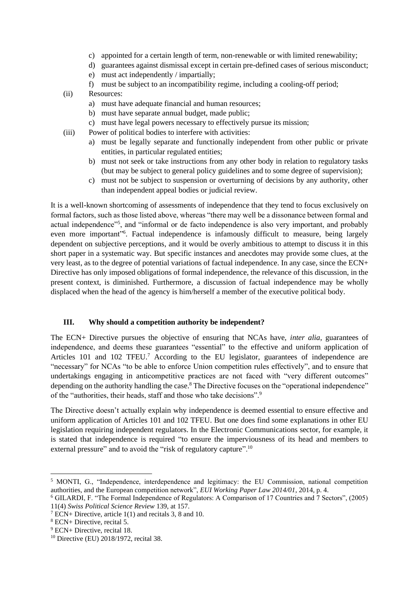- c) appointed for a certain length of term, non-renewable or with limited renewability;
- d) guarantees against dismissal except in certain pre-defined cases of serious misconduct;
- e) must act independently / impartially;
- f) must be subject to an incompatibility regime, including a cooling-off period;
- (ii) Resources:
	- a) must have adequate financial and human resources;
	- b) must have separate annual budget, made public;
	- c) must have legal powers necessary to effectively pursue its mission;
- (iii) Power of political bodies to interfere with activities:
	- a) must be legally separate and functionally independent from other public or private entities, in particular regulated entities;
	- b) must not seek or take instructions from any other body in relation to regulatory tasks (but may be subject to general policy guidelines and to some degree of supervision);
	- c) must not be subject to suspension or overturning of decisions by any authority, other than independent appeal bodies or judicial review.

It is a well-known shortcoming of assessments of independence that they tend to focus exclusively on formal factors, such as those listed above, whereas "there may well be a dissonance between formal and actual independence"<sup>5</sup>, and "informal or de facto independence is also very important, and probably even more important"<sup>6</sup>. Factual independence is infamously difficult to measure, being largely dependent on subjective perceptions, and it would be overly ambitious to attempt to discuss it in this short paper in a systematic way. But specific instances and anecdotes may provide some clues, at the very least, as to the degree of potential variations of factual independence. In any case, since the ECN+ Directive has only imposed obligations of formal independence, the relevance of this discussion, in the present context, is diminished. Furthermore, a discussion of factual independence may be wholly displaced when the head of the agency is him/herself a member of the executive political body.

### **III. Why should a competition authority be independent?**

The ECN+ Directive pursues the objective of ensuring that NCAs have, *inter alia*, guarantees of independence, and deems these guarantees "essential" to the effective and uniform application of Articles 101 and 102 TFEU.<sup>7</sup> According to the EU legislator, guarantees of independence are "necessary" for NCAs "to be able to enforce Union competition rules effectively", and to ensure that undertakings engaging in anticompetitive practices are not faced with "very different outcomes" depending on the authority handling the case.<sup>8</sup> The Directive focuses on the "operational independence" of the "authorities, their heads, staff and those who take decisions".<sup>9</sup>

The Directive doesn't actually explain why independence is deemed essential to ensure effective and uniform application of Articles 101 and 102 TFEU. But one does find some explanations in other EU legislation requiring independent regulators. In the Electronic Communications sector, for example, it is stated that independence is required "to ensure the imperviousness of its head and members to external pressure" and to avoid the "risk of regulatory capture".<sup>10</sup>

<sup>5</sup> MONTI, G., "Independence, interdependence and legitimacy: the EU Commission, national competition authorities, and the European competition network", *EUI Working Paper Law 2014/01*, 2014, p. 4.

<sup>6</sup> GILARDI, F. "The Formal Independence of Regulators: A Comparison of 17 Countries and 7 Sectors", (2005) 11(4) *Swiss Political Science Review* 139, at 157.

<sup>7</sup> ECN+ Directive, article 1(1) and recitals 3, 8 and 10.

<sup>8</sup> ECN+ Directive, recital 5.

<sup>9</sup> ECN+ Directive, recital 18.

<sup>10</sup> Directive (EU) 2018/1972, recital 38.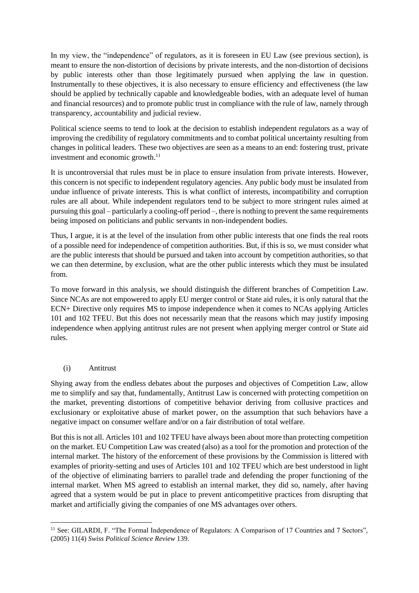In my view, the "independence" of regulators, as it is foreseen in EU Law (see previous section), is meant to ensure the non-distortion of decisions by private interests, and the non-distortion of decisions by public interests other than those legitimately pursued when applying the law in question. Instrumentally to these objectives, it is also necessary to ensure efficiency and effectiveness (the law should be applied by technically capable and knowledgeable bodies, with an adequate level of human and financial resources) and to promote public trust in compliance with the rule of law, namely through transparency, accountability and judicial review.

Political science seems to tend to look at the decision to establish independent regulators as a way of improving the credibility of regulatory commitments and to combat political uncertainty resulting from changes in political leaders. These two objectives are seen as a means to an end: fostering trust, private investment and economic growth.<sup>11</sup>

It is uncontroversial that rules must be in place to ensure insulation from private interests. However, this concern is not specific to independent regulatory agencies. Any public body must be insulated from undue influence of private interests. This is what conflict of interests, incompatibility and corruption rules are all about. While independent regulators tend to be subject to more stringent rules aimed at pursuing this goal – particularly a cooling-off period –, there is nothing to prevent the same requirements being imposed on politicians and public servants in non-independent bodies.

Thus, I argue, it is at the level of the insulation from other public interests that one finds the real roots of a possible need for independence of competition authorities. But, if this is so, we must consider what are the public interests that should be pursued and taken into account by competition authorities, so that we can then determine, by exclusion, what are the other public interests which they must be insulated from.

To move forward in this analysis, we should distinguish the different branches of Competition Law. Since NCAs are not empowered to apply EU merger control or State aid rules, it is only natural that the ECN+ Directive only requires MS to impose independence when it comes to NCAs applying Articles 101 and 102 TFEU. But this does not necessarily mean that the reasons which may justify imposing independence when applying antitrust rules are not present when applying merger control or State aid rules.

### (i) Antitrust

Shying away from the endless debates about the purposes and objectives of Competition Law, allow me to simplify and say that, fundamentally, Antitrust Law is concerned with protecting competition on the market, preventing distortions of competitive behavior deriving from collusive practices and exclusionary or exploitative abuse of market power, on the assumption that such behaviors have a negative impact on consumer welfare and/or on a fair distribution of total welfare.

But this is not all. Articles 101 and 102 TFEU have always been about more than protecting competition on the market. EU Competition Law was created (also) as a tool for the promotion and protection of the internal market. The history of the enforcement of these provisions by the Commission is littered with examples of priority-setting and uses of Articles 101 and 102 TFEU which are best understood in light of the objective of eliminating barriers to parallel trade and defending the proper functioning of the internal market. When MS agreed to establish an internal market, they did so, namely, after having agreed that a system would be put in place to prevent anticompetitive practices from disrupting that market and artificially giving the companies of one MS advantages over others.

<sup>&</sup>lt;sup>11</sup> See: GILARDI, F. "The Formal Independence of Regulators: A Comparison of 17 Countries and 7 Sectors", (2005) 11(4) *Swiss Political Science Review* 139.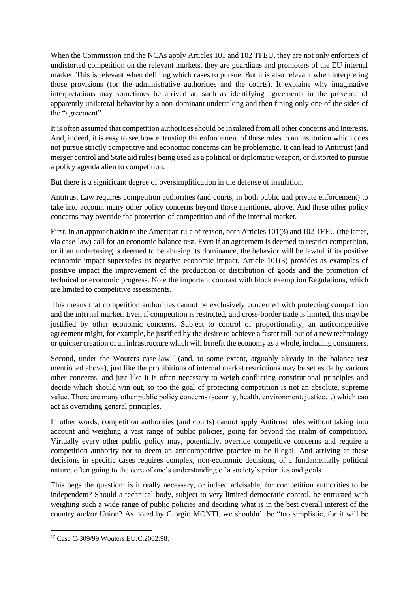When the Commission and the NCAs apply Articles 101 and 102 TFEU, they are not only enforcers of undistorted competition on the relevant markets, they are guardians and promoters of the EU internal market. This is relevant when defining which cases to pursue. But it is also relevant when interpreting those provisions (for the administrative authorities and the courts). It explains why imaginative interpretations may sometimes be arrived at, such as identifying agreements in the presence of apparently unilateral behavior by a non-dominant undertaking and then fining only one of the sides of the "agreement".

It is often assumed that competition authorities should be insulated from all other concerns and interests. And, indeed, it is easy to see how entrusting the enforcement of these rules to an institution which does not pursue strictly competitive and economic concerns can be problematic. It can lead to Antitrust (and merger control and State aid rules) being used as a political or diplomatic weapon, or distorted to pursue a policy agenda alien to competition.

But there is a significant degree of oversimplification in the defense of insulation.

Antitrust Law requires competition authorities (and courts, in both public and private enforcement) to take into account many other policy concerns beyond those mentioned above. And these other policy concerns may override the protection of competition and of the internal market.

First, in an approach akin to the American rule of reason, both Articles 101(3) and 102 TFEU (the latter, via case-law) call for an economic balance test. Even if an agreement is deemed to restrict competition, or if an undertaking is deemed to be abusing its dominance, the behavior will be lawful if its positive economic impact supersedes its negative economic impact. Article 101(3) provides as examples of positive impact the improvement of the production or distribution of goods and the promotion of technical or economic progress. Note the important contrast with block exemption Regulations, which are limited to competitive assessments.

This means that competition authorities cannot be exclusively concerned with protecting competition and the internal market. Even if competition is restricted, and cross-border trade is limited, this may be justified by other economic concerns. Subject to control of proportionality, an anticompetitive agreement might, for example, be justified by the desire to achieve a faster roll-out of a new technology or quicker creation of an infrastructure which will benefit the economy as a whole, including consumers.

Second, under the Wouters case-law<sup>12</sup> (and, to some extent, arguably already in the balance test mentioned above), just like the prohibitions of internal market restrictions may be set aside by various other concerns, and just like it is often necessary to weigh conflicting constitutional principles and decide which should win out, so too the goal of protecting competition is not an absolute, supreme value. There are many other public policy concerns (security, health, environment, justice…) which can act as overriding general principles.

In other words, competition authorities (and courts) cannot apply Antitrust rules without taking into account and weighing a vast range of public policies, going far beyond the realm of competition. Virtually every other public policy may, potentially, override competitive concerns and require a competition authority not to deem an anticompetitive practice to be illegal. And arriving at these decisions in specific cases requires complex, non-economic decisions, of a fundamentally political nature, often going to the core of one's understanding of a society's priorities and goals.

This begs the question: is it really necessary, or indeed advisable, for competition authorities to be independent? Should a technical body, subject to very limited democratic control, be entrusted with weighing such a wide range of public policies and deciding what is in the best overall interest of the country and/or Union? As noted by Giorgio MONTI, we shouldn't be "too simplistic, for it will be

<sup>12</sup> Case C-309/99 Wouters EU:C:2002:98.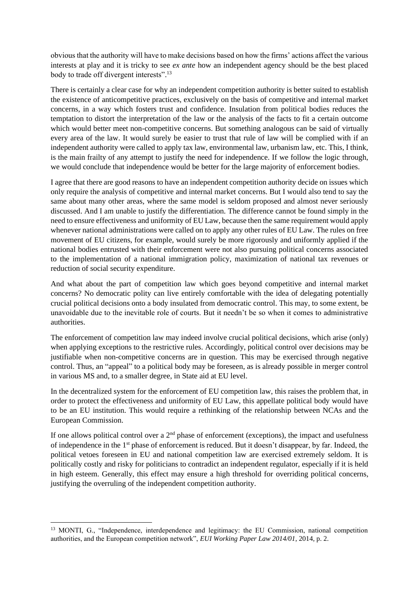obvious that the authority will have to make decisions based on how the firms' actions affect the various interests at play and it is tricky to see *ex ante* how an independent agency should be the best placed body to trade off divergent interests".<sup>13</sup>

There is certainly a clear case for why an independent competition authority is better suited to establish the existence of anticompetitive practices, exclusively on the basis of competitive and internal market concerns, in a way which fosters trust and confidence. Insulation from political bodies reduces the temptation to distort the interpretation of the law or the analysis of the facts to fit a certain outcome which would better meet non-competitive concerns. But something analogous can be said of virtually every area of the law. It would surely be easier to trust that rule of law will be complied with if an independent authority were called to apply tax law, environmental law, urbanism law, etc. This, I think, is the main frailty of any attempt to justify the need for independence. If we follow the logic through, we would conclude that independence would be better for the large majority of enforcement bodies.

I agree that there are good reasons to have an independent competition authority decide on issues which only require the analysis of competitive and internal market concerns. But I would also tend to say the same about many other areas, where the same model is seldom proposed and almost never seriously discussed. And I am unable to justify the differentiation. The difference cannot be found simply in the need to ensure effectiveness and uniformity of EU Law, because then the same requirement would apply whenever national administrations were called on to apply any other rules of EU Law. The rules on free movement of EU citizens, for example, would surely be more rigorously and uniformly applied if the national bodies entrusted with their enforcement were not also pursuing political concerns associated to the implementation of a national immigration policy, maximization of national tax revenues or reduction of social security expenditure.

And what about the part of competition law which goes beyond competitive and internal market concerns? No democratic polity can live entirely comfortable with the idea of delegating potentially crucial political decisions onto a body insulated from democratic control. This may, to some extent, be unavoidable due to the inevitable role of courts. But it needn't be so when it comes to administrative authorities.

The enforcement of competition law may indeed involve crucial political decisions, which arise (only) when applying exceptions to the restrictive rules. Accordingly, political control over decisions may be justifiable when non-competitive concerns are in question. This may be exercised through negative control. Thus, an "appeal" to a political body may be foreseen, as is already possible in merger control in various MS and, to a smaller degree, in State aid at EU level.

In the decentralized system for the enforcement of EU competition law, this raises the problem that, in order to protect the effectiveness and uniformity of EU Law, this appellate political body would have to be an EU institution. This would require a rethinking of the relationship between NCAs and the European Commission.

If one allows political control over a  $2<sup>nd</sup>$  phase of enforcement (exceptions), the impact and usefulness of independence in the 1st phase of enforcement is reduced. But it doesn't disappear, by far. Indeed, the political vetoes foreseen in EU and national competition law are exercised extremely seldom. It is politically costly and risky for politicians to contradict an independent regulator, especially if it is held in high esteem. Generally, this effect may ensure a high threshold for overriding political concerns, justifying the overruling of the independent competition authority.

<sup>&</sup>lt;sup>13</sup> MONTI, G., "Independence, interdependence and legitimacy: the EU Commission, national competition authorities, and the European competition network", *EUI Working Paper Law 2014/01*, 2014, p. 2.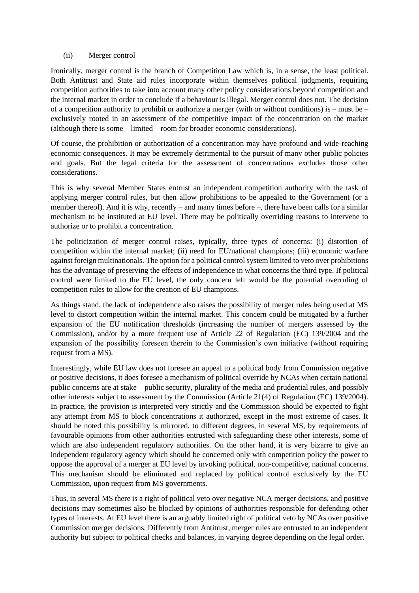#### (ii) Merger control

Ironically, merger control is the branch of Competition Law which is, in a sense, the least political. Both Antitrust and State aid rules incorporate within themselves political judgments, requiring competition authorities to take into account many other policy considerations beyond competition and the internal market in order to conclude if a behaviour is illegal. Merger control does not. The decision of a competition authority to prohibit or authorize a merger (with or without conditions) is – must be – exclusively rooted in an assessment of the competitive impact of the concentration on the market (although there is some – limited – room for broader economic considerations).

Of course, the prohibition or authorization of a concentration may have profound and wide-reaching economic consequences. It may be extremely detrimental to the pursuit of many other public policies and goals. But the legal criteria for the assessment of concentrations excludes those other considerations.

This is why several Member States entrust an independent competition authority with the task of applying merger control rules, but then allow prohibitions to be appealed to the Government (or a member thereof). And it is why, recently – and many times before –, there have been calls for a similar mechanism to be instituted at EU level. There may be politically overriding reasons to intervene to authorize or to prohibit a concentration.

The politicization of merger control raises, typically, three types of concerns: (i) distortion of competition within the internal market; (ii) need for EU/national champions; (iii) economic warfare against foreign multinationals. The option for a political control system limited to veto over prohibitions has the advantage of preserving the effects of independence in what concerns the third type. If political control were limited to the EU level, the only concern left would be the potential overruling of competition rules to allow for the creation of EU champions.

As things stand, the lack of independence also raises the possibility of merger rules being used at MS level to distort competition within the internal market. This concern could be mitigated by a further expansion of the EU notification thresholds (increasing the number of mergers assessed by the Commission), and/or by a more frequent use of Article 22 of Regulation (EC) 139/2004 and the expansion of the possibility foreseen therein to the Commission's own initiative (without requiring request from a MS).

Interestingly, while EU law does not foresee an appeal to a political body from Commission negative or positive decisions, it does foresee a mechanism of political override by NCAs when certain national public concerns are at stake – public security, plurality of the media and prudential rules, and possibly other interests subject to assessment by the Commission (Article 21(4) of Regulation (EC) 139/2004). In practice, the provision is interpreted very strictly and the Commission should be expected to fight any attempt from MS to block concentrations it authorized, except in the most extreme of cases. It should be noted this possibility is mirrored, to different degrees, in several MS, by requirements of favourable opinions from other authorities entrusted with safeguarding these other interests, some of which are also independent regulatory authorities. On the other hand, it is very bizarre to give an independent regulatory agency which should be concerned only with competition policy the power to oppose the approval of a merger at EU level by invoking political, non-competitive, national concerns. This mechanism should be eliminated and replaced by political control exclusively by the EU Commission, upon request from MS governments.

Thus, in several MS there is a right of political veto over negative NCA merger decisions, and positive decisions may sometimes also be blocked by opinions of authorities responsible for defending other types of interests. At EU level there is an arguably limited right of political veto by NCAs over positive Commission merger decisions. Differently from Antitrust, merger rules are entrusted to an independent authority but subject to political checks and balances, in varying degree depending on the legal order.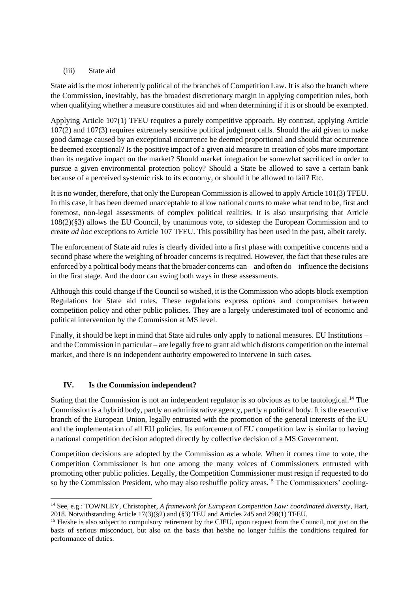#### (iii) State aid

State aid is the most inherently political of the branches of Competition Law. It is also the branch where the Commission, inevitably, has the broadest discretionary margin in applying competition rules, both when qualifying whether a measure constitutes aid and when determining if it is or should be exempted.

Applying Article 107(1) TFEU requires a purely competitive approach. By contrast, applying Article 107(2) and 107(3) requires extremely sensitive political judgment calls. Should the aid given to make good damage caused by an exceptional occurrence be deemed proportional and should that occurrence be deemed exceptional? Is the positive impact of a given aid measure in creation of jobs more important than its negative impact on the market? Should market integration be somewhat sacrificed in order to pursue a given environmental protection policy? Should a State be allowed to save a certain bank because of a perceived systemic risk to its economy, or should it be allowed to fail? Etc.

It is no wonder, therefore, that only the European Commission is allowed to apply Article 101(3) TFEU. In this case, it has been deemed unacceptable to allow national courts to make what tend to be, first and foremost, non-legal assessments of complex political realities. It is also unsurprising that Article 108(2)(§3) allows the EU Council, by unanimous vote, to sidestep the European Commission and to create *ad hoc* exceptions to Article 107 TFEU. This possibility has been used in the past, albeit rarely.

The enforcement of State aid rules is clearly divided into a first phase with competitive concerns and a second phase where the weighing of broader concerns is required. However, the fact that these rules are enforced by a political body means that the broader concerns can – and often do – influence the decisions in the first stage. And the door can swing both ways in these assessments.

Although this could change if the Council so wished, it is the Commission who adopts block exemption Regulations for State aid rules. These regulations express options and compromises between competition policy and other public policies. They are a largely underestimated tool of economic and political intervention by the Commission at MS level.

Finally, it should be kept in mind that State aid rules only apply to national measures. EU Institutions – and the Commission in particular – are legally free to grant aid which distorts competition on the internal market, and there is no independent authority empowered to intervene in such cases.

### **IV. Is the Commission independent?**

Stating that the Commission is not an independent regulator is so obvious as to be tautological.<sup>14</sup> The Commission is a hybrid body, partly an administrative agency, partly a political body. It is the executive branch of the European Union, legally entrusted with the promotion of the general interests of the EU and the implementation of all EU policies. Its enforcement of EU competition law is similar to having a national competition decision adopted directly by collective decision of a MS Government.

Competition decisions are adopted by the Commission as a whole. When it comes time to vote, the Competition Commissioner is but one among the many voices of Commissioners entrusted with promoting other public policies. Legally, the Competition Commissioner must resign if requested to do so by the Commission President, who may also reshuffle policy areas.<sup>15</sup> The Commissioners' cooling-

<sup>14</sup> See, e.g.: TOWNLEY, Christopher, *A framework for European Competition Law: coordinated diversity*, Hart, 2018. Notwithstanding Article 17(3)(§2) and (§3) TEU and Articles 245 and 298(1) TFEU.

<sup>&</sup>lt;sup>15</sup> He/she is also subject to compulsory retirement by the CJEU, upon request from the Council, not just on the basis of serious misconduct, but also on the basis that he/she no longer fulfils the conditions required for performance of duties.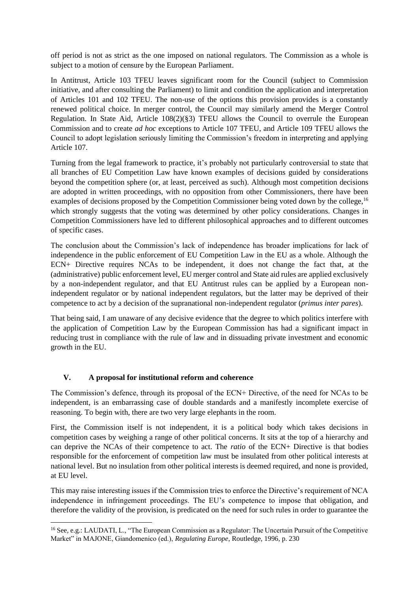off period is not as strict as the one imposed on national regulators. The Commission as a whole is subject to a motion of censure by the European Parliament.

In Antitrust, Article 103 TFEU leaves significant room for the Council (subject to Commission initiative, and after consulting the Parliament) to limit and condition the application and interpretation of Articles 101 and 102 TFEU. The non-use of the options this provision provides is a constantly renewed political choice. In merger control, the Council may similarly amend the Merger Control Regulation. In State Aid, Article 108(2)(§3) TFEU allows the Council to overrule the European Commission and to create *ad hoc* exceptions to Article 107 TFEU, and Article 109 TFEU allows the Council to adopt legislation seriously limiting the Commission's freedom in interpreting and applying Article 107.

Turning from the legal framework to practice, it's probably not particularly controversial to state that all branches of EU Competition Law have known examples of decisions guided by considerations beyond the competition sphere (or, at least, perceived as such). Although most competition decisions are adopted in written proceedings, with no opposition from other Commissioners, there have been examples of decisions proposed by the Competition Commissioner being voted down by the college,<sup>16</sup> which strongly suggests that the voting was determined by other policy considerations. Changes in Competition Commissioners have led to different philosophical approaches and to different outcomes of specific cases.

The conclusion about the Commission's lack of independence has broader implications for lack of independence in the public enforcement of EU Competition Law in the EU as a whole. Although the ECN+ Directive requires NCAs to be independent, it does not change the fact that, at the (administrative) public enforcement level, EU merger control and State aid rules are applied exclusively by a non-independent regulator, and that EU Antitrust rules can be applied by a European nonindependent regulator or by national independent regulators, but the latter may be deprived of their competence to act by a decision of the supranational non-independent regulator (*primus inter pares*).

That being said, I am unaware of any decisive evidence that the degree to which politics interfere with the application of Competition Law by the European Commission has had a significant impact in reducing trust in compliance with the rule of law and in dissuading private investment and economic growth in the EU.

### **V. A proposal for institutional reform and coherence**

The Commission's defence, through its proposal of the ECN+ Directive, of the need for NCAs to be independent, is an embarrassing case of double standards and a manifestly incomplete exercise of reasoning. To begin with, there are two very large elephants in the room.

First, the Commission itself is not independent, it is a political body which takes decisions in competition cases by weighing a range of other political concerns. It sits at the top of a hierarchy and can deprive the NCAs of their competence to act. The *ratio* of the ECN+ Directive is that bodies responsible for the enforcement of competition law must be insulated from other political interests at national level. But no insulation from other political interests is deemed required, and none is provided, at EU level.

This may raise interesting issues if the Commission tries to enforce the Directive's requirement of NCA independence in infringement proceedings. The EU's competence to impose that obligation, and therefore the validity of the provision, is predicated on the need for such rules in order to guarantee the

<sup>16</sup> See, e.g.: LAUDATI, L., "The European Commission as a Regulator: The Uncertain Pursuit of the Competitive Market" in MAJONE, Giandomenico (ed.), *Regulating Europe*, Routledge, 1996, p. 230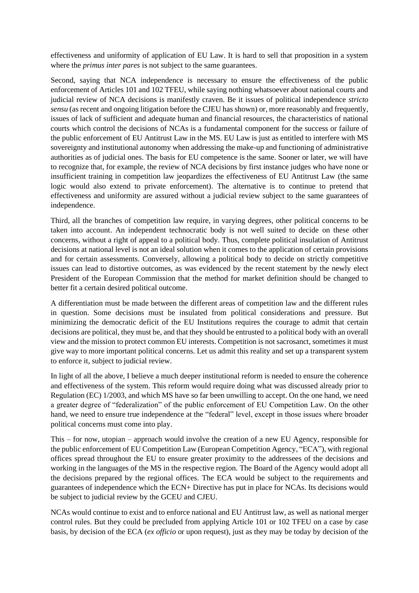effectiveness and uniformity of application of EU Law. It is hard to sell that proposition in a system where the *primus inter pares* is not subject to the same guarantees.

Second, saying that NCA independence is necessary to ensure the effectiveness of the public enforcement of Articles 101 and 102 TFEU, while saying nothing whatsoever about national courts and judicial review of NCA decisions is manifestly craven. Be it issues of political independence *stricto sensu* (as recent and ongoing litigation before the CJEU has shown) or, more reasonably and frequently, issues of lack of sufficient and adequate human and financial resources, the characteristics of national courts which control the decisions of NCAs is a fundamental component for the success or failure of the public enforcement of EU Antitrust Law in the MS. EU Law is just as entitled to interfere with MS sovereignty and institutional autonomy when addressing the make-up and functioning of administrative authorities as of judicial ones. The basis for EU competence is the same. Sooner or later, we will have to recognize that, for example, the review of NCA decisions by first instance judges who have none or insufficient training in competition law jeopardizes the effectiveness of EU Antitrust Law (the same logic would also extend to private enforcement). The alternative is to continue to pretend that effectiveness and uniformity are assured without a judicial review subject to the same guarantees of independence.

Third, all the branches of competition law require, in varying degrees, other political concerns to be taken into account. An independent technocratic body is not well suited to decide on these other concerns, without a right of appeal to a political body. Thus, complete political insulation of Antitrust decisions at national level is not an ideal solution when it comes to the application of certain provisions and for certain assessments. Conversely, allowing a political body to decide on strictly competitive issues can lead to distortive outcomes, as was evidenced by the recent statement by the newly elect President of the European Commission that the method for market definition should be changed to better fit a certain desired political outcome.

A differentiation must be made between the different areas of competition law and the different rules in question. Some decisions must be insulated from political considerations and pressure. But minimizing the democratic deficit of the EU Institutions requires the courage to admit that certain decisions are political, they must be, and that they should be entrusted to a political body with an overall view and the mission to protect common EU interests. Competition is not sacrosanct, sometimes it must give way to more important political concerns. Let us admit this reality and set up a transparent system to enforce it, subject to judicial review.

In light of all the above, I believe a much deeper institutional reform is needed to ensure the coherence and effectiveness of the system. This reform would require doing what was discussed already prior to Regulation (EC) 1/2003, and which MS have so far been unwilling to accept. On the one hand, we need a greater degree of "federalization" of the public enforcement of EU Competition Law. On the other hand, we need to ensure true independence at the "federal" level, except in those issues where broader political concerns must come into play.

This – for now, utopian – approach would involve the creation of a new EU Agency, responsible for the public enforcement of EU Competition Law (European Competition Agency, "ECA"), with regional offices spread throughout the EU to ensure greater proximity to the addressees of the decisions and working in the languages of the MS in the respective region. The Board of the Agency would adopt all the decisions prepared by the regional offices. The ECA would be subject to the requirements and guarantees of independence which the ECN+ Directive has put in place for NCAs. Its decisions would be subject to judicial review by the GCEU and CJEU.

NCAs would continue to exist and to enforce national and EU Antitrust law, as well as national merger control rules. But they could be precluded from applying Article 101 or 102 TFEU on a case by case basis, by decision of the ECA (*ex officio* or upon request), just as they may be today by decision of the